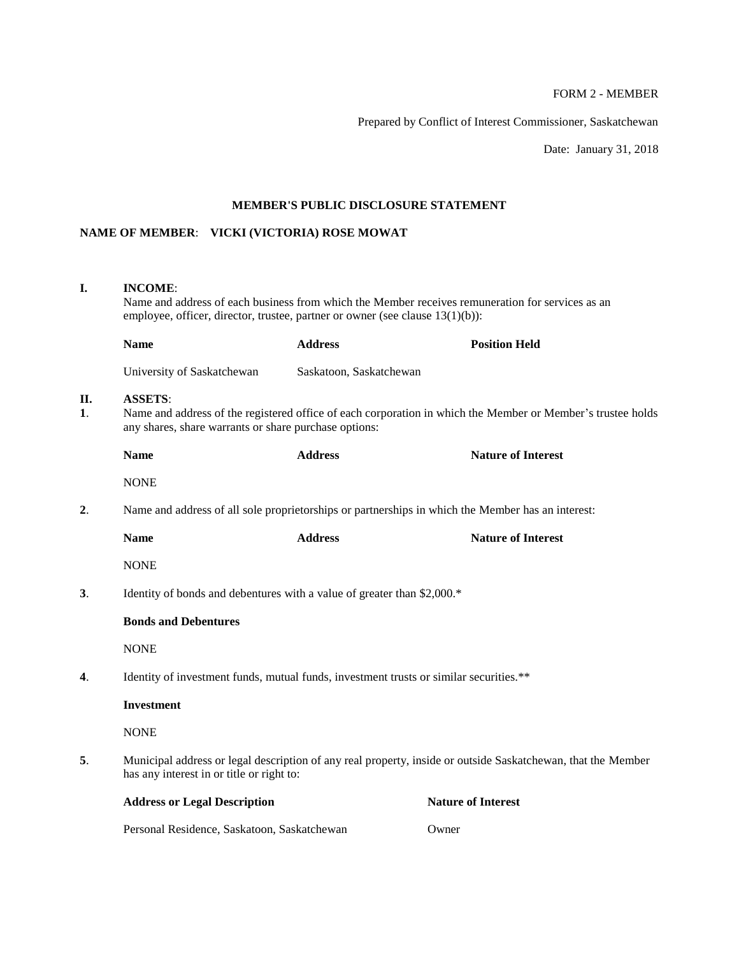# FORM 2 - MEMBER

Prepared by Conflict of Interest Commissioner, Saskatchewan

Date: January 31, 2018

## **MEMBER'S PUBLIC DISCLOSURE STATEMENT**

# **NAME OF MEMBER**: **VICKI (VICTORIA) ROSE MOWAT**

# **I. INCOME**:

Name and address of each business from which the Member receives remuneration for services as an employee, officer, director, trustee, partner or owner (see clause 13(1)(b)):

|                           | <b>Name</b>                                                                                                                                                                                                                                                                                                                                                                          | <b>Address</b>                                                                                              | <b>Position Held</b>      |  |  |  |
|---------------------------|--------------------------------------------------------------------------------------------------------------------------------------------------------------------------------------------------------------------------------------------------------------------------------------------------------------------------------------------------------------------------------------|-------------------------------------------------------------------------------------------------------------|---------------------------|--|--|--|
|                           | University of Saskatchewan                                                                                                                                                                                                                                                                                                                                                           | Saskatoon, Saskatchewan                                                                                     |                           |  |  |  |
| II.<br>$\mathbf{1}$ .     | <b>ASSETS:</b><br>any shares, share warrants or share purchase options:                                                                                                                                                                                                                                                                                                              | Name and address of the registered office of each corporation in which the Member or Member's trustee holds |                           |  |  |  |
|                           | <b>Name</b>                                                                                                                                                                                                                                                                                                                                                                          | <b>Address</b>                                                                                              | <b>Nature of Interest</b> |  |  |  |
|                           | <b>NONE</b>                                                                                                                                                                                                                                                                                                                                                                          |                                                                                                             |                           |  |  |  |
| 2.                        | Name and address of all sole proprietorships or partnerships in which the Member has an interest:                                                                                                                                                                                                                                                                                    |                                                                                                             |                           |  |  |  |
|                           | <b>Name</b>                                                                                                                                                                                                                                                                                                                                                                          | <b>Address</b>                                                                                              | <b>Nature of Interest</b> |  |  |  |
|                           | <b>NONE</b>                                                                                                                                                                                                                                                                                                                                                                          |                                                                                                             |                           |  |  |  |
| 3 <sub>1</sub>            | Identity of bonds and debentures with a value of greater than \$2,000.*                                                                                                                                                                                                                                                                                                              |                                                                                                             |                           |  |  |  |
|                           | <b>Bonds and Debentures</b>                                                                                                                                                                                                                                                                                                                                                          |                                                                                                             |                           |  |  |  |
|                           | <b>NONE</b>                                                                                                                                                                                                                                                                                                                                                                          |                                                                                                             |                           |  |  |  |
| $\overline{\mathbf{4}}$ . | Identity of investment funds, mutual funds, investment trusts or similar securities.**                                                                                                                                                                                                                                                                                               |                                                                                                             |                           |  |  |  |
|                           | <b>Investment</b>                                                                                                                                                                                                                                                                                                                                                                    |                                                                                                             |                           |  |  |  |
|                           | <b>NONE</b>                                                                                                                                                                                                                                                                                                                                                                          |                                                                                                             |                           |  |  |  |
| 5.                        | Municipal address or legal description of any real property, inside or outside Saskatchewan, that the Member<br>has any interest in or title or right to:                                                                                                                                                                                                                            |                                                                                                             |                           |  |  |  |
|                           | <b>Address or Legal Description</b>                                                                                                                                                                                                                                                                                                                                                  |                                                                                                             | <b>Nature of Interest</b> |  |  |  |
|                           | $\overline{18}$ $\overline{1}$ $\overline{1}$ $\overline{1}$ $\overline{1}$ $\overline{1}$ $\overline{1}$ $\overline{1}$ $\overline{1}$ $\overline{1}$ $\overline{1}$ $\overline{1}$ $\overline{1}$ $\overline{1}$ $\overline{1}$ $\overline{1}$ $\overline{1}$ $\overline{1}$ $\overline{1}$ $\overline{1}$ $\overline{1}$ $\overline{1}$ $\overline{1}$ $\overline{1}$ $\overline$ |                                                                                                             |                           |  |  |  |

Personal Residence, Saskatoon, Saskatchewan Owner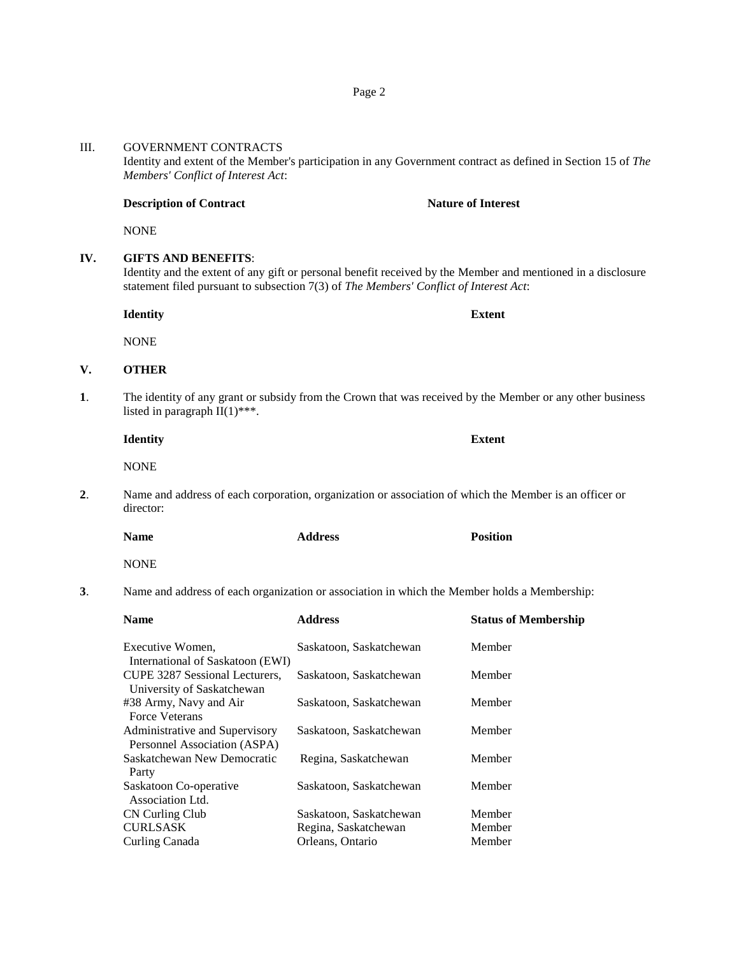## Page 2

#### III. GOVERNMENT CONTRACTS

Identity and extent of the Member's participation in any Government contract as defined in Section 15 of *The Members' Conflict of Interest Act*:

#### **Description of Contract Nature of Interest**

**NONE** 

## **IV. GIFTS AND BENEFITS**:

Identity and the extent of any gift or personal benefit received by the Member and mentioned in a disclosure statement filed pursuant to subsection 7(3) of *The Members' Conflict of Interest Act*:

**Identity Extent**

NONE

### **V. OTHER**

- **1**. The identity of any grant or subsidy from the Crown that was received by the Member or any other business listed in paragraph  $II(1)$ \*\*\*.
	- **Identity Extent NONE**
- **2**. Name and address of each corporation, organization or association of which the Member is an officer or director:

| <b>Name</b> | <b>Address</b> | <b>Position</b> |
|-------------|----------------|-----------------|
|             |                |                 |

NONE

**3**. Name and address of each organization or association in which the Member holds a Membership:

| <b>Name</b>                                     | <b>Address</b>          | <b>Status of Membership</b> |
|-------------------------------------------------|-------------------------|-----------------------------|
| Executive Women,                                | Saskatoon, Saskatchewan | Member                      |
| International of Saskatoon (EWI)                |                         |                             |
| CUPE 3287 Sessional Lecturers,                  | Saskatoon, Saskatchewan | Member                      |
| University of Saskatchewan                      |                         |                             |
| #38 Army, Navy and Air<br><b>Force Veterans</b> | Saskatoon, Saskatchewan | Member                      |
| Administrative and Supervisory                  | Saskatoon, Saskatchewan | Member                      |
| Personnel Association (ASPA)                    |                         |                             |
| Saskatchewan New Democratic                     | Regina, Saskatchewan    | Member                      |
| Party                                           |                         |                             |
| Saskatoon Co-operative<br>Association Ltd.      | Saskatoon, Saskatchewan | Member                      |
| CN Curling Club                                 | Saskatoon, Saskatchewan | Member                      |
| <b>CURLSASK</b>                                 | Regina, Saskatchewan    | Member                      |
| Curling Canada                                  | Orleans, Ontario        | Member                      |
|                                                 |                         |                             |